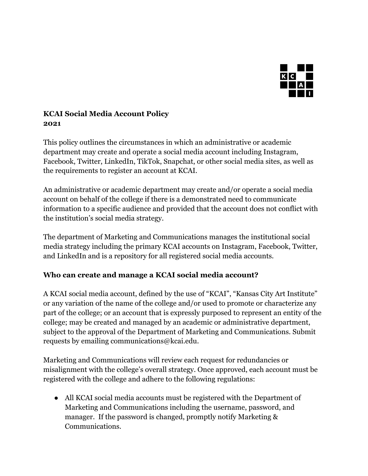

## **KCAI Social Media Account Policy 2021**

This policy outlines the circumstances in which an administrative or academic department may create and operate a social media account including Instagram, Facebook, Twitter, LinkedIn, TikTok, Snapchat, or other social media sites, as well as the requirements to register an account at KCAI.

An administrative or academic department may create and/or operate a social media account on behalf of the college if there is a demonstrated need to communicate information to a specific audience and provided that the account does not conflict with the institution's social media strategy.

The department of Marketing and Communications manages the institutional social media strategy including the primary KCAI accounts on Instagram, Facebook, Twitter, and LinkedIn and is a repository for all registered social media accounts.

## **Who can create and manage a KCAI social media account?**

A KCAI social media account, defined by the use of "KCAI", "Kansas City Art Institute" or any variation of the name of the college and/or used to promote or characterize any part of the college; or an account that is expressly purposed to represent an entity of the college; may be created and managed by an academic or administrative department, subject to the approval of the Department of Marketing and Communications. Submit requests by emailing communications@kcai.edu.

Marketing and Communications will review each request for redundancies or misalignment with the college's overall strategy. Once approved, each account must be registered with the college and adhere to the following regulations:

● All KCAI social media accounts must be registered with the Department of Marketing and Communications including the username, password, and manager. If the password is changed, promptly notify Marketing & Communications.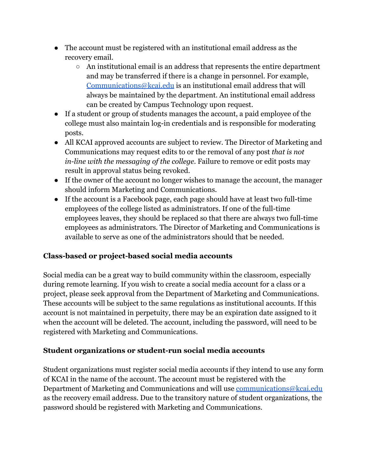- The account must be registered with an institutional email address as the recovery email.
	- An institutional email is an address that represents the entire department and may be transferred if there is a change in personnel. For example, [Communications@kcai.edu](mailto:Communications@kcai.edu) is an institutional email address that will always be maintained by the department. An institutional email address can be created by Campus Technology upon request.
- If a student or group of students manages the account, a paid employee of the college must also maintain log-in credentials and is responsible for moderating posts.
- All KCAI approved accounts are subject to review. The Director of Marketing and Communications may request edits to or the removal of any post *that is not in-line with the messaging of the college*. Failure to remove or edit posts may result in approval status being revoked.
- If the owner of the account no longer wishes to manage the account, the manager should inform Marketing and Communications.
- If the account is a Facebook page, each page should have at least two full-time employees of the college listed as administrators. If one of the full-time employees leaves, they should be replaced so that there are always two full-time employees as administrators. The Director of Marketing and Communications is available to serve as one of the administrators should that be needed.

## **Class-based or project-based social media accounts**

Social media can be a great way to build community within the classroom, especially during remote learning. If you wish to create a social media account for a class or a project, please seek approval from the Department of Marketing and Communications. These accounts will be subject to the same regulations as institutional accounts. If this account is not maintained in perpetuity, there may be an expiration date assigned to it when the account will be deleted. The account, including the password, will need to be registered with Marketing and Communications.

## **Student organizations or student-run social media accounts**

Student organizations must register social media accounts if they intend to use any form of KCAI in the name of the account. The account must be registered with the Department of Marketing and Communications and will use [communications@kcai.edu](mailto:communications@kcai.edu) as the recovery email address. Due to the transitory nature of student organizations, the password should be registered with Marketing and Communications.